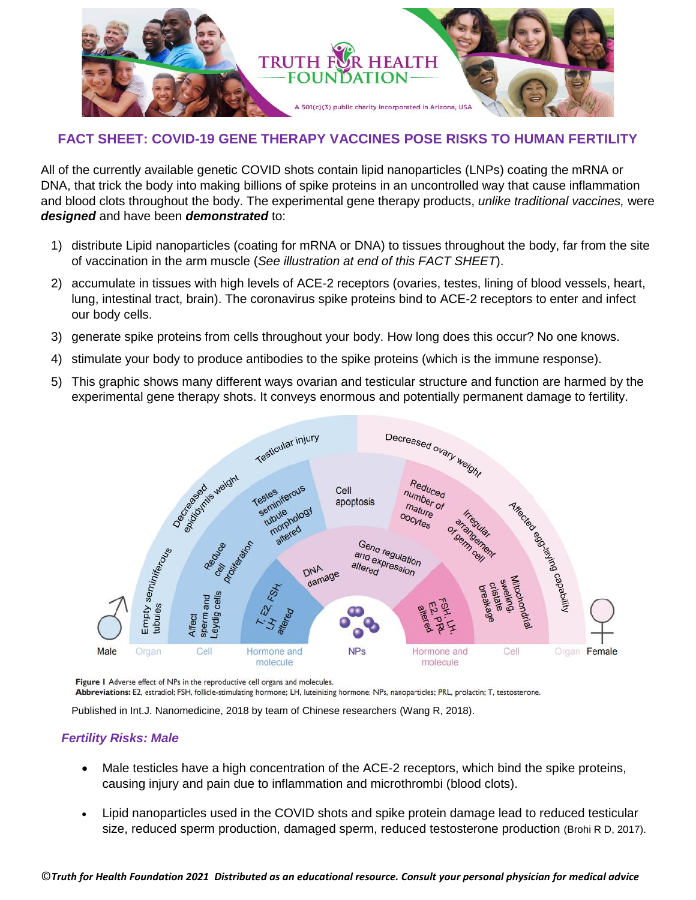

# **FACT SHEET: COVID-19 GENE THERAPY VACCINES POSE RISKS TO HUMAN FERTILITY**

All of the currently available genetic COVID shots contain lipid nanoparticles (LNPs) coating the mRNA or DNA, that trick the body into making billions of spike proteins in an uncontrolled way that cause inflammation and blood clots throughout the body. The experimental gene therapy products, *unlike traditional vaccines,* were *designed* and have been *demonstrated* to:

- 1) distribute Lipid nanoparticles (coating for mRNA or DNA) to tissues throughout the body, far from the site of vaccination in the arm muscle (*See illustration at end of this FACT SHEET*).
- 2) accumulate in tissues with high levels of ACE-2 receptors (ovaries, testes, lining of blood vessels, heart, lung, intestinal tract, brain). The coronavirus spike proteins bind to ACE-2 receptors to enter and infect our body cells.
- 3) generate spike proteins from cells throughout your body. How long does this occur? No one knows.
- 4) stimulate your body to produce antibodies to the spike proteins (which is the immune response).
- 5) This graphic shows many different ways ovarian and testicular structure and function are harmed by the experimental gene therapy shots. It conveys enormous and potentially permanent damage to fertility.



Figure 1 Adverse effect of NPs in the reproductive cell organs and molecules.

Abbreviations: E2, estradiol; FSH, follicle-stimulating hormone; LH, luteinizing hormone; NPs, nanoparticles; PRL, prolactin; T, testosterone.

Published in Int.J. Nanomedicine, 2018 by team of Chinese researchers (Wang R, 2018).

#### *Fertility Risks: Male*

- Male testicles have a high concentration of the ACE-2 receptors, which bind the spike proteins, causing injury and pain due to inflammation and microthrombi (blood clots).
- Lipid nanoparticles used in the COVID shots and spike protein damage lead to reduced testicular size, reduced sperm production, damaged sperm, reduced testosterone production (Brohi R D, 2017).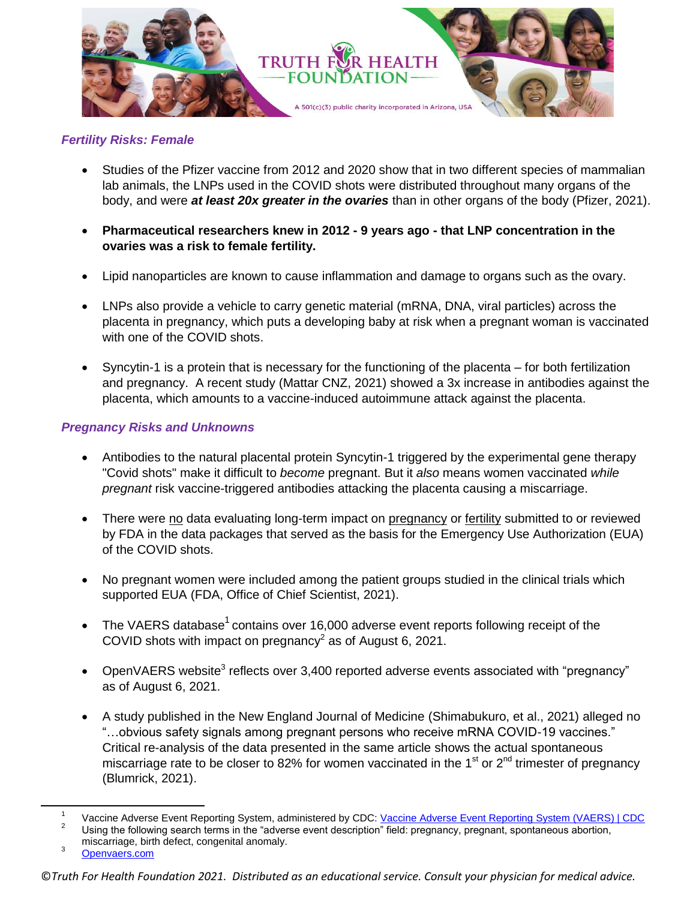

# *Fertility Risks: Female*

- Studies of the Pfizer vaccine from 2012 and 2020 show that in two different species of mammalian lab animals, the LNPs used in the COVID shots were distributed throughout many organs of the body, and were *at least 20x greater in the ovaries* than in other organs of the body (Pfizer, 2021).
- **Pharmaceutical researchers knew in 2012 - 9 years ago - that LNP concentration in the ovaries was a risk to female fertility.**
- Lipid nanoparticles are known to cause inflammation and damage to organs such as the ovary.
- LNPs also provide a vehicle to carry genetic material (mRNA, DNA, viral particles) across the placenta in pregnancy, which puts a developing baby at risk when a pregnant woman is vaccinated with one of the COVID shots.
- Syncytin-1 is a protein that is necessary for the functioning of the placenta for both fertilization and pregnancy. A recent study (Mattar CNZ, 2021) showed a 3x increase in antibodies against the placenta, which amounts to a vaccine-induced autoimmune attack against the placenta.

## *Pregnancy Risks and Unknowns*

- Antibodies to the natural placental protein Syncytin-1 triggered by the experimental gene therapy "Covid shots" make it difficult to *become* pregnant. But it *also* means women vaccinated *while pregnant* risk vaccine-triggered antibodies attacking the placenta causing a miscarriage.
- There were no data evaluating long-term impact on pregnancy or fertility submitted to or reviewed by FDA in the data packages that served as the basis for the Emergency Use Authorization (EUA) of the COVID shots.
- No pregnant women were included among the patient groups studied in the clinical trials which supported EUA (FDA, Office of Chief Scientist, 2021).
- The VAERS database<sup>1</sup> contains over 16,000 adverse event reports following receipt of the COVID shots with impact on pregnancy<sup>2</sup> as of August 6, 2021.
- OpenVAERS website<sup>3</sup> reflects over 3,400 reported adverse events associated with "pregnancy" as of August 6, 2021.
- A study published in the New England Journal of Medicine (Shimabukuro, et al., 2021) alleged no "…obvious safety signals among pregnant persons who receive mRNA COVID-19 vaccines." Critical re-analysis of the data presented in the same article shows the actual spontaneous miscarriage rate to be closer to 82% for women vaccinated in the 1<sup>st</sup> or 2<sup>nd</sup> trimester of pregnancy (Blumrick, 2021).

 $\overline{\phantom{a}}$ 

<sup>1</sup> Vaccine Adverse Event Reporting System, administered by CDC[: Vaccine Adverse Event Reporting System \(VAERS\) | CDC](https://www.cdc.gov/coronavirus/2019-ncov/vaccines/safety/vaers.html)

<sup>&</sup>lt;sup>2</sup> Using the following search terms in the "adverse event description" field: pregnancy, pregnant, spontaneous abortion, miscarriage, birth defect, congenital anomaly.

[Openvaers.com](https://www.openvaers.com/)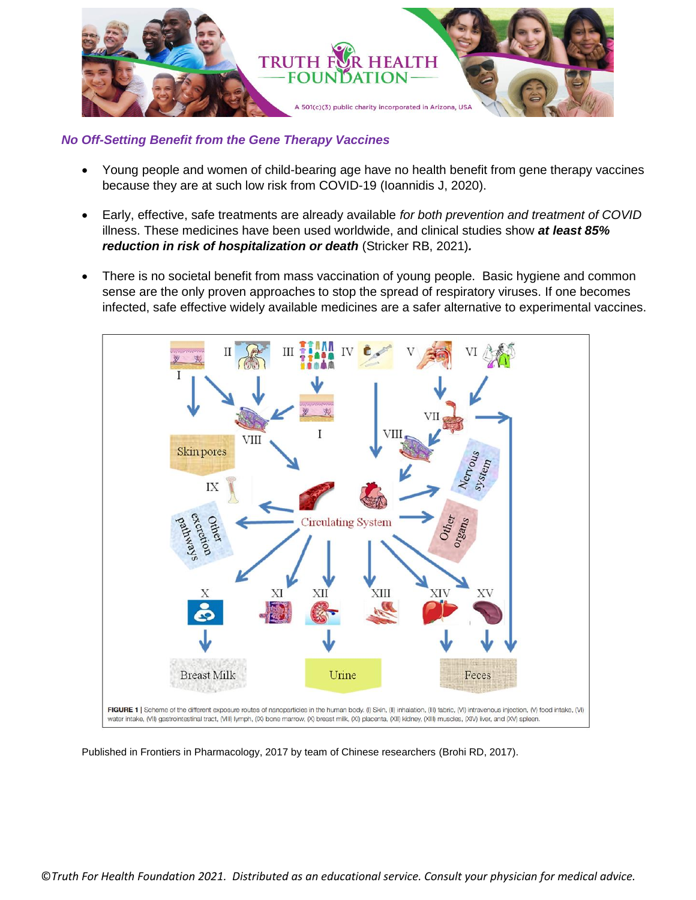

## *No Off-Setting Benefit from the Gene Therapy Vaccines*

- Young people and women of child-bearing age have no health benefit from gene therapy vaccines because they are at such low risk from COVID-19 (Ioannidis J, 2020).
- Early, effective, safe treatments are already available *for both prevention and treatment of COVID* illness. These medicines have been used worldwide, and clinical studies show *at least 85% reduction in risk of hospitalization or death* (Stricker RB, 2021)*.*
- There is no societal benefit from mass vaccination of young people. Basic hygiene and common sense are the only proven approaches to stop the spread of respiratory viruses. If one becomes infected, safe effective widely available medicines are a safer alternative to experimental vaccines.



Published in Frontiers in Pharmacology, 2017 by team of Chinese researchers (Brohi RD, 2017).